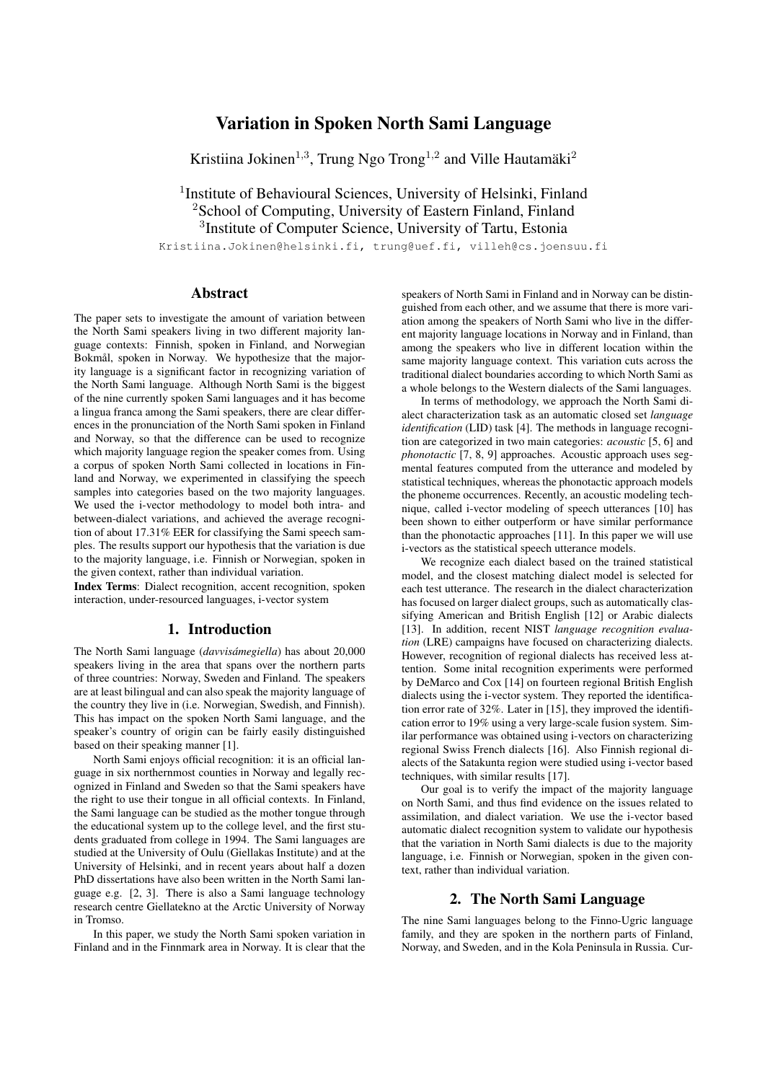# Variation in Spoken North Sami Language

Kristiina Jokinen<sup>1,3</sup>, Trung Ngo Trong<sup>1,2</sup> and Ville Hautamäki<sup>2</sup>

<sup>1</sup>Institute of Behavioural Sciences, University of Helsinki, Finland <sup>2</sup>School of Computing, University of Eastern Finland, Finland <sup>3</sup>Institute of Computer Science, University of Tartu, Estonia

Kristiina.Jokinen@helsinki.fi, trung@uef.fi, villeh@cs.joensuu.fi

### Abstract

The paper sets to investigate the amount of variation between the North Sami speakers living in two different majority language contexts: Finnish, spoken in Finland, and Norwegian Bokmål, spoken in Norway. We hypothesize that the majority language is a significant factor in recognizing variation of the North Sami language. Although North Sami is the biggest of the nine currently spoken Sami languages and it has become a lingua franca among the Sami speakers, there are clear differences in the pronunciation of the North Sami spoken in Finland and Norway, so that the difference can be used to recognize which majority language region the speaker comes from. Using a corpus of spoken North Sami collected in locations in Finland and Norway, we experimented in classifying the speech samples into categories based on the two majority languages. We used the i-vector methodology to model both intra- and between-dialect variations, and achieved the average recognition of about 17.31% EER for classifying the Sami speech samples. The results support our hypothesis that the variation is due to the majority language, i.e. Finnish or Norwegian, spoken in the given context, rather than individual variation.

Index Terms: Dialect recognition, accent recognition, spoken interaction, under-resourced languages, i-vector system

### 1. Introduction

The North Sami language (*davvisámegiella*) has about 20,000 speakers living in the area that spans over the northern parts of three countries: Norway, Sweden and Finland. The speakers are at least bilingual and can also speak the majority language of the country they live in (i.e. Norwegian, Swedish, and Finnish). This has impact on the spoken North Sami language, and the speaker's country of origin can be fairly easily distinguished based on their speaking manner [1].

North Sami enjoys official recognition: it is an official language in six northernmost counties in Norway and legally recognized in Finland and Sweden so that the Sami speakers have the right to use their tongue in all official contexts. In Finland, the Sami language can be studied as the mother tongue through the educational system up to the college level, and the first students graduated from college in 1994. The Sami languages are studied at the University of Oulu (Giellakas Institute) and at the University of Helsinki, and in recent years about half a dozen PhD dissertations have also been written in the North Sami language e.g. [2, 3]. There is also a Sami language technology research centre Giellatekno at the Arctic University of Norway in Tromso.

In this paper, we study the North Sami spoken variation in Finland and in the Finnmark area in Norway. It is clear that the

speakers of North Sami in Finland and in Norway can be distinguished from each other, and we assume that there is more variation among the speakers of North Sami who live in the different majority language locations in Norway and in Finland, than among the speakers who live in different location within the same majority language context. This variation cuts across the traditional dialect boundaries according to which North Sami as a whole belongs to the Western dialects of the Sami languages.

In terms of methodology, we approach the North Sami dialect characterization task as an automatic closed set *language identification* (LID) task [4]. The methods in language recognition are categorized in two main categories: *acoustic* [5, 6] and *phonotactic* [7, 8, 9] approaches. Acoustic approach uses segmental features computed from the utterance and modeled by statistical techniques, whereas the phonotactic approach models the phoneme occurrences. Recently, an acoustic modeling technique, called i-vector modeling of speech utterances [10] has been shown to either outperform or have similar performance than the phonotactic approaches [11]. In this paper we will use i-vectors as the statistical speech utterance models.

We recognize each dialect based on the trained statistical model, and the closest matching dialect model is selected for each test utterance. The research in the dialect characterization has focused on larger dialect groups, such as automatically classifying American and British English [12] or Arabic dialects [13]. In addition, recent NIST *language recognition evaluation* (LRE) campaigns have focused on characterizing dialects. However, recognition of regional dialects has received less attention. Some inital recognition experiments were performed by DeMarco and Cox [14] on fourteen regional British English dialects using the i-vector system. They reported the identification error rate of 32%. Later in [15], they improved the identification error to 19% using a very large-scale fusion system. Similar performance was obtained using i-vectors on characterizing regional Swiss French dialects [16]. Also Finnish regional dialects of the Satakunta region were studied using i-vector based techniques, with similar results [17].

Our goal is to verify the impact of the majority language on North Sami, and thus find evidence on the issues related to assimilation, and dialect variation. We use the i-vector based automatic dialect recognition system to validate our hypothesis that the variation in North Sami dialects is due to the majority language, i.e. Finnish or Norwegian, spoken in the given context, rather than individual variation.

### 2. The North Sami Language

The nine Sami languages belong to the Finno-Ugric language family, and they are spoken in the northern parts of Finland, Norway, and Sweden, and in the Kola Peninsula in Russia. Cur-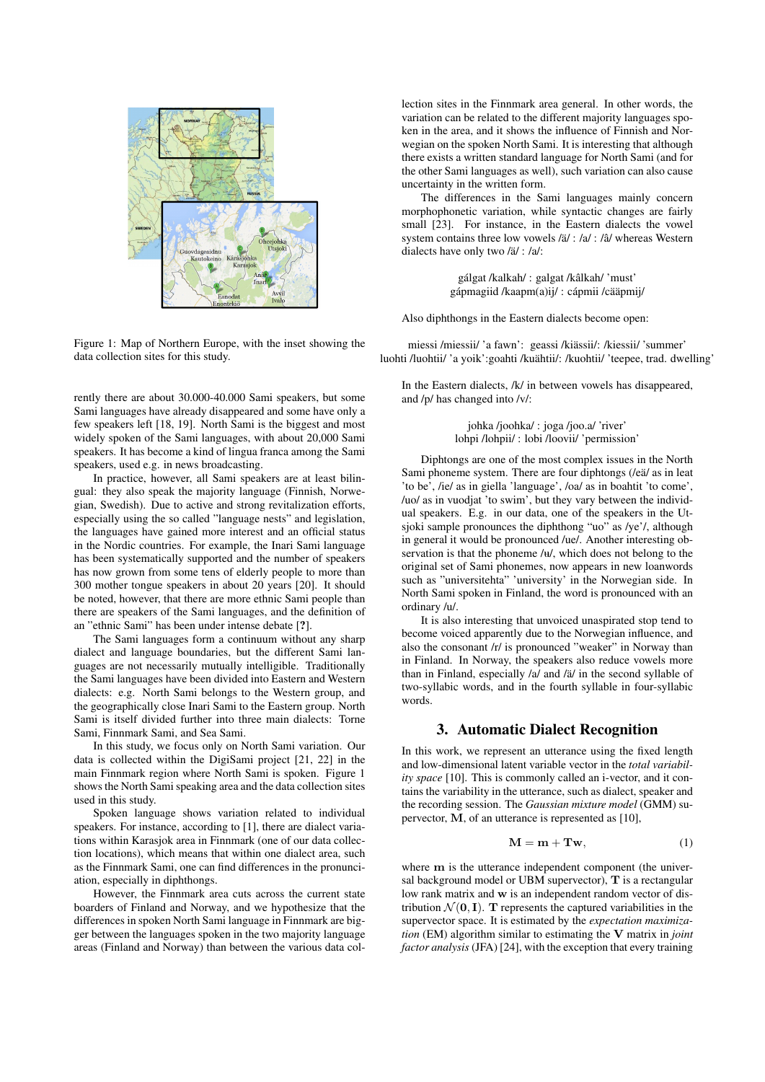

Figure 1: Map of Northern Europe, with the inset showing the data collection sites for this study.

rently there are about 30.000-40.000 Sami speakers, but some Sami languages have already disappeared and some have only a few speakers left [18, 19]. North Sami is the biggest and most widely spoken of the Sami languages, with about 20,000 Sami speakers. It has become a kind of lingua franca among the Sami speakers, used e.g. in news broadcasting.

In practice, however, all Sami speakers are at least bilingual: they also speak the majority language (Finnish, Norwegian, Swedish). Due to active and strong revitalization efforts, especially using the so called "language nests" and legislation, the languages have gained more interest and an official status in the Nordic countries. For example, the Inari Sami language has been systematically supported and the number of speakers has now grown from some tens of elderly people to more than 300 mother tongue speakers in about 20 years [20]. It should be noted, however, that there are more ethnic Sami people than there are speakers of the Sami languages, and the definition of an "ethnic Sami" has been under intense debate [?].

The Sami languages form a continuum without any sharp dialect and language boundaries, but the different Sami languages are not necessarily mutually intelligible. Traditionally the Sami languages have been divided into Eastern and Western dialects: e.g. North Sami belongs to the Western group, and the geographically close Inari Sami to the Eastern group. North Sami is itself divided further into three main dialects: Torne Sami, Finnmark Sami, and Sea Sami.

In this study, we focus only on North Sami variation. Our data is collected within the DigiSami project [21, 22] in the main Finnmark region where North Sami is spoken. Figure 1 shows the North Sami speaking area and the data collection sites used in this study.

Spoken language shows variation related to individual speakers. For instance, according to [1], there are dialect variations within Karasjok area in Finnmark (one of our data collection locations), which means that within one dialect area, such as the Finnmark Sami, one can find differences in the pronunciation, especially in diphthongs.

However, the Finnmark area cuts across the current state boarders of Finland and Norway, and we hypothesize that the differences in spoken North Sami language in Finnmark are bigger between the languages spoken in the two majority language areas (Finland and Norway) than between the various data collection sites in the Finnmark area general. In other words, the variation can be related to the different majority languages spoken in the area, and it shows the influence of Finnish and Norwegian on the spoken North Sami. It is interesting that although there exists a written standard language for North Sami (and for the other Sami languages as well), such variation can also cause uncertainty in the written form.

The differences in the Sami languages mainly concern morphophonetic variation, while syntactic changes are fairly small [23]. For instance, in the Eastern dialects the vowel system contains three low vowels  $/i/$  :  $/a/$  :  $/i/$  whereas Western dialects have only two /ä/ : /a/:

> gálgat /kalkah/ : galgat /kâlkah/ 'must' gápmagiid /kaapm(a)ij/ : cápmii /cääpmij/

Also diphthongs in the Eastern dialects become open:

miessi /miessii/ 'a fawn': geassi /kiassii/: /kiessii/ 'summer' ¨ luohti /luohtii/ 'a yoik':goahti /kuähtii/: /kuohtii/ 'teepee, trad. dwelling'

In the Eastern dialects, /k/ in between vowels has disappeared, and /p/ has changed into /v/:

> johka /joohka/ : joga /joo.a/ 'river' lohpi /lohpii/ : lobi /loovii/ 'permission'

Diphtongs are one of the most complex issues in the North Sami phoneme system. There are four diphtongs (/eä/ as in leat 'to be', /ie/ as in giella 'language', /oa/ as in boahtit 'to come', /uo/ as in vuodjat 'to swim', but they vary between the individual speakers. E.g. in our data, one of the speakers in the Utsjoki sample pronounces the diphthong "uo" as /ye'/, although in general it would be pronounced /ue/. Another interesting observation is that the phoneme  $/u/$ , which does not belong to the original set of Sami phonemes, now appears in new loanwords such as "universitehta" 'university' in the Norwegian side. In North Sami spoken in Finland, the word is pronounced with an ordinary /u/.

It is also interesting that unvoiced unaspirated stop tend to become voiced apparently due to the Norwegian influence, and also the consonant /r/ is pronounced "weaker" in Norway than in Finland. In Norway, the speakers also reduce vowels more than in Finland, especially  $/a/$  and  $\frac{a}{a}$  in the second syllable of two-syllabic words, and in the fourth syllable in four-syllabic words.

### 3. Automatic Dialect Recognition

In this work, we represent an utterance using the fixed length and low-dimensional latent variable vector in the *total variability space* [10]. This is commonly called an i-vector, and it contains the variability in the utterance, such as dialect, speaker and the recording session. The *Gaussian mixture model* (GMM) supervector, M, of an utterance is represented as [10],

$$
\mathbf{M} = \mathbf{m} + \mathbf{Tw},\tag{1}
$$

where  $m$  is the utterance independent component (the universal background model or UBM supervector), T is a rectangular low rank matrix and w is an independent random vector of distribution  $\mathcal{N}(\mathbf{0}, \mathbf{I})$ . T represents the captured variabilities in the supervector space. It is estimated by the *expectation maximization* (EM) algorithm similar to estimating the V matrix in *joint factor analysis* (JFA) [24], with the exception that every training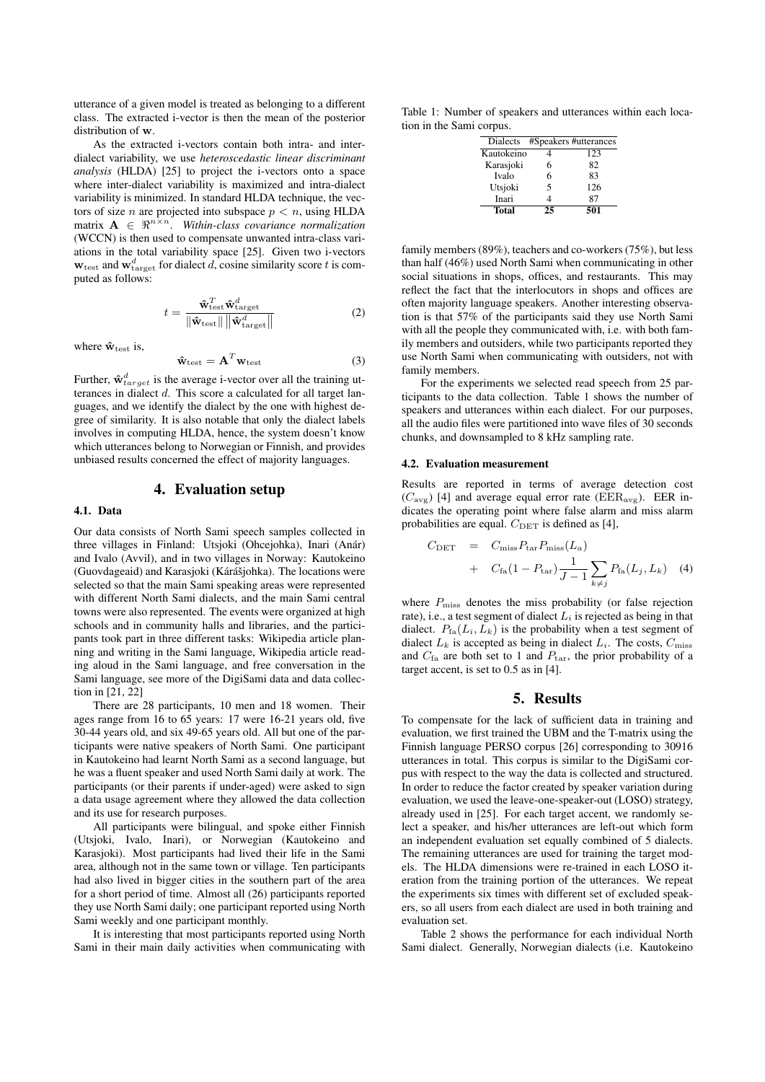utterance of a given model is treated as belonging to a different class. The extracted i-vector is then the mean of the posterior distribution of w.

As the extracted i-vectors contain both intra- and interdialect variability, we use *heteroscedastic linear discriminant analysis* (HLDA) [25] to project the i-vectors onto a space where inter-dialect variability is maximized and intra-dialect variability is minimized. In standard HLDA technique, the vectors of size *n* are projected into subspace  $p < n$ , using HLDA matrix  $\mathbf{A} \in \mathbb{R}^{n \times n}$ . *Within-class covariance normalization* (WCCN) is then used to compensate unwanted intra-class variations in the total variability space [25]. Given two i-vectors  $w_{\text{test}}$  and  $w_{\text{target}}^d$  for dialect d, cosine similarity score t is computed as follows:

$$
t = \frac{\hat{\mathbf{w}}_{\text{test}}^T \hat{\mathbf{w}}_{\text{target}}^d}{\|\hat{\mathbf{w}}_{\text{test}}\| \|\hat{\mathbf{w}}_{\text{target}}^d\|}
$$
(2)

where  $\hat{\mathbf{w}}_{\text{test}}$  is,

$$
\hat{\mathbf{w}}_{\text{test}} = \mathbf{A}^T \mathbf{w}_{\text{test}} \tag{3}
$$

Further,  $\mathbf{\hat{w}}_{target}^d$  is the average i-vector over all the training utterances in dialect d. This score a calculated for all target languages, and we identify the dialect by the one with highest degree of similarity. It is also notable that only the dialect labels involves in computing HLDA, hence, the system doesn't know which utterances belong to Norwegian or Finnish, and provides unbiased results concerned the effect of majority languages.

### 4. Evaluation setup

#### 4.1. Data

Our data consists of North Sami speech samples collected in three villages in Finland: Utsjoki (Ohcejohka), Inari (Anár) and Ivalo (Avvil), and in two villages in Norway: Kautokeino (Guovdageaid) and Karasjoki (Kárášjohka). The locations were selected so that the main Sami speaking areas were represented with different North Sami dialects, and the main Sami central towns were also represented. The events were organized at high schools and in community halls and libraries, and the participants took part in three different tasks: Wikipedia article planning and writing in the Sami language, Wikipedia article reading aloud in the Sami language, and free conversation in the Sami language, see more of the DigiSami data and data collection in [21, 22]

There are 28 participants, 10 men and 18 women. Their ages range from 16 to 65 years: 17 were 16-21 years old, five 30-44 years old, and six 49-65 years old. All but one of the participants were native speakers of North Sami. One participant in Kautokeino had learnt North Sami as a second language, but he was a fluent speaker and used North Sami daily at work. The participants (or their parents if under-aged) were asked to sign a data usage agreement where they allowed the data collection and its use for research purposes.

All participants were bilingual, and spoke either Finnish (Utsjoki, Ivalo, Inari), or Norwegian (Kautokeino and Karasjoki). Most participants had lived their life in the Sami area, although not in the same town or village. Ten participants had also lived in bigger cities in the southern part of the area for a short period of time. Almost all (26) participants reported they use North Sami daily; one participant reported using North Sami weekly and one participant monthly.

It is interesting that most participants reported using North Sami in their main daily activities when communicating with

Table 1: Number of speakers and utterances within each location in the Sami corpus.

|    | #Speakers #utterances |
|----|-----------------------|
|    | 123                   |
| 6  | 82                    |
| 6  | 83                    |
| 5  | 126                   |
|    | 87                    |
| 25 | 501                   |
|    |                       |

family members (89%), teachers and co-workers (75%), but less than half (46%) used North Sami when communicating in other social situations in shops, offices, and restaurants. This may reflect the fact that the interlocutors in shops and offices are often majority language speakers. Another interesting observation is that 57% of the participants said they use North Sami with all the people they communicated with, i.e. with both family members and outsiders, while two participants reported they use North Sami when communicating with outsiders, not with family members.

For the experiments we selected read speech from 25 participants to the data collection. Table 1 shows the number of speakers and utterances within each dialect. For our purposes, all the audio files were partitioned into wave files of 30 seconds chunks, and downsampled to 8 kHz sampling rate.

#### 4.2. Evaluation measurement

Results are reported in terms of average detection cost  $(C_{\text{avg}})$  [4] and average equal error rate (EER<sub>avg</sub>). EER indicates the operating point where false alarm and miss alarm probabilities are equal.  $C_{\text{DET}}$  is defined as [4],

$$
C_{\text{DET}} = C_{\text{miss}} P_{\text{tar}} P_{\text{miss}}(L_a)
$$
  
+ 
$$
C_{\text{fa}} (1 - P_{\text{tar}}) \frac{1}{J - 1} \sum_{k \neq j} P_{\text{fa}}(L_j, L_k)
$$
 (4)

where  $P_{\text{miss}}$  denotes the miss probability (or false rejection rate), i.e., a test segment of dialect  $L_i$  is rejected as being in that dialect.  $P_{fa}(L_i, L_k)$  is the probability when a test segment of dialect  $L_k$  is accepted as being in dialect  $L_i$ . The costs,  $C_{\text{miss}}$ and  $C_{\text{fa}}$  are both set to 1 and  $P_{\text{tar}}$ , the prior probability of a target accent, is set to 0.5 as in [4].

### 5. Results

To compensate for the lack of sufficient data in training and evaluation, we first trained the UBM and the T-matrix using the Finnish language PERSO corpus [26] corresponding to 30916 utterances in total. This corpus is similar to the DigiSami corpus with respect to the way the data is collected and structured. In order to reduce the factor created by speaker variation during evaluation, we used the leave-one-speaker-out (LOSO) strategy, already used in [25]. For each target accent, we randomly select a speaker, and his/her utterances are left-out which form an independent evaluation set equally combined of 5 dialects. The remaining utterances are used for training the target models. The HLDA dimensions were re-trained in each LOSO iteration from the training portion of the utterances. We repeat the experiments six times with different set of excluded speakers, so all users from each dialect are used in both training and evaluation set.

Table 2 shows the performance for each individual North Sami dialect. Generally, Norwegian dialects (i.e. Kautokeino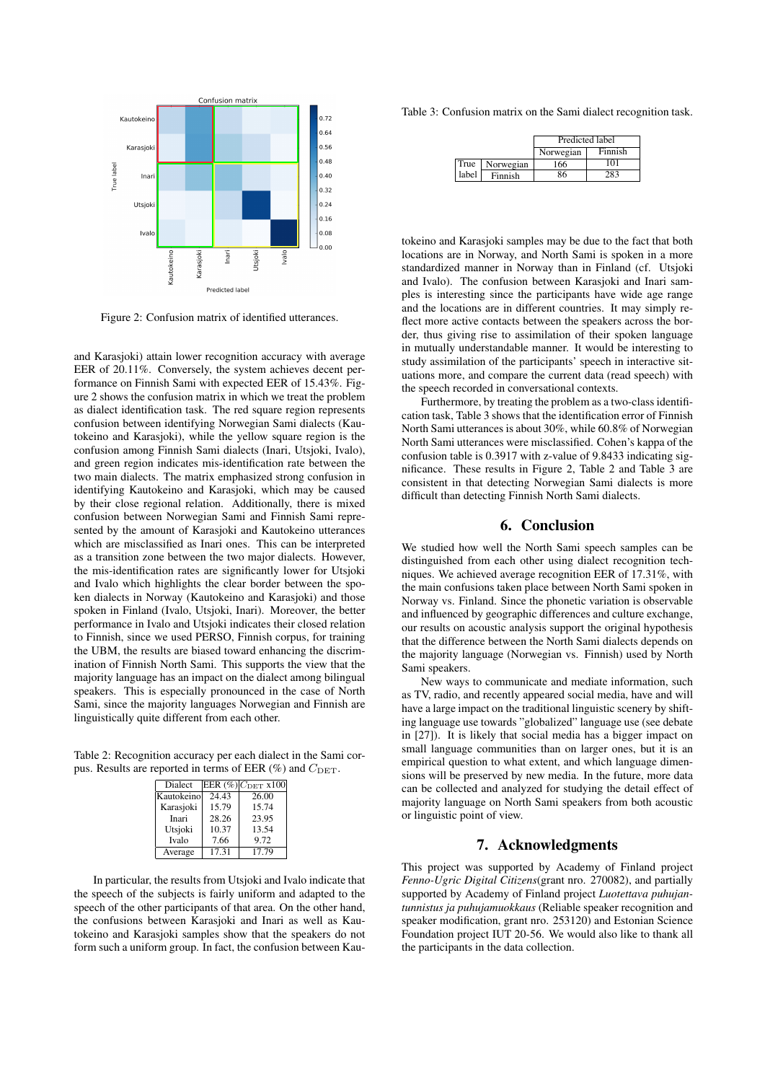

Figure 2: Confusion matrix of identified utterances.

and Karasjoki) attain lower recognition accuracy with average EER of 20.11%. Conversely, the system achieves decent performance on Finnish Sami with expected EER of 15.43%. Figure 2 shows the confusion matrix in which we treat the problem as dialect identification task. The red square region represents confusion between identifying Norwegian Sami dialects (Kautokeino and Karasjoki), while the yellow square region is the confusion among Finnish Sami dialects (Inari, Utsjoki, Ivalo), and green region indicates mis-identification rate between the two main dialects. The matrix emphasized strong confusion in identifying Kautokeino and Karasjoki, which may be caused by their close regional relation. Additionally, there is mixed confusion between Norwegian Sami and Finnish Sami represented by the amount of Karasjoki and Kautokeino utterances which are misclassified as Inari ones. This can be interpreted as a transition zone between the two major dialects. However, the mis-identification rates are significantly lower for Utsjoki and Ivalo which highlights the clear border between the spoken dialects in Norway (Kautokeino and Karasjoki) and those spoken in Finland (Ivalo, Utsjoki, Inari). Moreover, the better performance in Ivalo and Utsjoki indicates their closed relation to Finnish, since we used PERSO, Finnish corpus, for training the UBM, the results are biased toward enhancing the discrimination of Finnish North Sami. This supports the view that the majority language has an impact on the dialect among bilingual speakers. This is especially pronounced in the case of North Sami, since the majority languages Norwegian and Finnish are linguistically quite different from each other.

Table 2: Recognition accuracy per each dialect in the Sami corpus. Results are reported in terms of EER  $(\%)$  and  $C_{\text{DET}}$ .

| Dialect    |       | EER $(\%)$ $C_{\text{DET}}$ x100 |
|------------|-------|----------------------------------|
| Kautokeino | 24.43 | 26.00                            |
| Karasjoki  | 15.79 | 15.74                            |
| Inari      | 28.26 | 23.95                            |
| Utsjoki    | 10.37 | 13.54                            |
| Ivalo      | 7.66  | 9.72                             |
| Average    | 17.31 | 17.79                            |

In particular, the results from Utsjoki and Ivalo indicate that the speech of the subjects is fairly uniform and adapted to the speech of the other participants of that area. On the other hand, the confusions between Karasjoki and Inari as well as Kautokeino and Karasjoki samples show that the speakers do not form such a uniform group. In fact, the confusion between KauTable 3: Confusion matrix on the Sami dialect recognition task.

|       |           | Predicted label |         |
|-------|-----------|-----------------|---------|
|       |           | Norwegian       | Finnish |
| True  | Norwegian | 166             | 101     |
| label | Finnish   | 86              |         |

tokeino and Karasjoki samples may be due to the fact that both locations are in Norway, and North Sami is spoken in a more standardized manner in Norway than in Finland (cf. Utsjoki and Ivalo). The confusion between Karasjoki and Inari samples is interesting since the participants have wide age range and the locations are in different countries. It may simply reflect more active contacts between the speakers across the border, thus giving rise to assimilation of their spoken language in mutually understandable manner. It would be interesting to study assimilation of the participants' speech in interactive situations more, and compare the current data (read speech) with the speech recorded in conversational contexts.

Furthermore, by treating the problem as a two-class identification task, Table 3 shows that the identification error of Finnish North Sami utterances is about 30%, while 60.8% of Norwegian North Sami utterances were misclassified. Cohen's kappa of the confusion table is 0.3917 with z-value of 9.8433 indicating significance. These results in Figure 2, Table 2 and Table 3 are consistent in that detecting Norwegian Sami dialects is more difficult than detecting Finnish North Sami dialects.

### 6. Conclusion

We studied how well the North Sami speech samples can be distinguished from each other using dialect recognition techniques. We achieved average recognition EER of 17.31%, with the main confusions taken place between North Sami spoken in Norway vs. Finland. Since the phonetic variation is observable and influenced by geographic differences and culture exchange, our results on acoustic analysis support the original hypothesis that the difference between the North Sami dialects depends on the majority language (Norwegian vs. Finnish) used by North Sami speakers.

New ways to communicate and mediate information, such as TV, radio, and recently appeared social media, have and will have a large impact on the traditional linguistic scenery by shifting language use towards "globalized" language use (see debate in [27]). It is likely that social media has a bigger impact on small language communities than on larger ones, but it is an empirical question to what extent, and which language dimensions will be preserved by new media. In the future, more data can be collected and analyzed for studying the detail effect of majority language on North Sami speakers from both acoustic or linguistic point of view.

## 7. Acknowledgments

This project was supported by Academy of Finland project *Fenno-Ugric Digital Citizens*(grant nro. 270082), and partially supported by Academy of Finland project *Luotettava puhujantunnistus ja puhujamuokkaus* (Reliable speaker recognition and speaker modification, grant nro. 253120) and Estonian Science Foundation project IUT 20-56. We would also like to thank all the participants in the data collection.